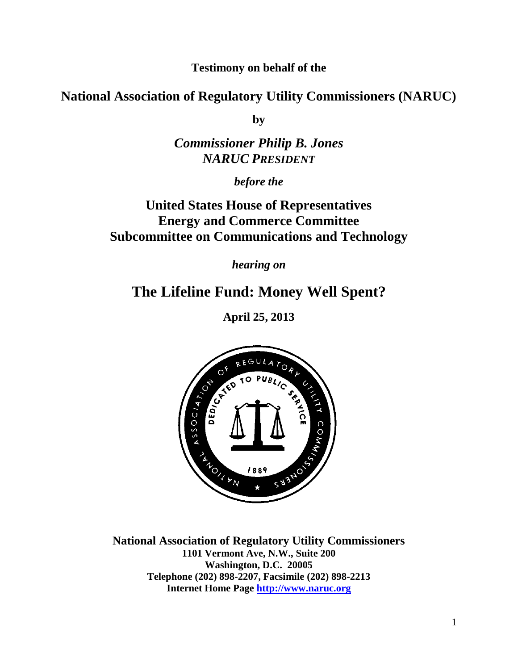**Testimony on behalf of the**

**National Association of Regulatory Utility Commissioners (NARUC)**

**by**

## *Commissioner Philip B. Jones NARUC PRESIDENT*

*before the*

## **United States House of Representatives Energy and Commerce Committee Subcommittee on Communications and Technology**

*hearing on*

# **The Lifeline Fund: Money Well Spent?**

**April 25, 2013**



**National Association of Regulatory Utility Commissioners 1101 Vermont Ave, N.W., Suite 200 Washington, D.C. 20005 Telephone (202) 898-2207, Facsimile (202) 898-2213 Internet Home Page [http://www.naruc.org](http://www.naruc.org/)**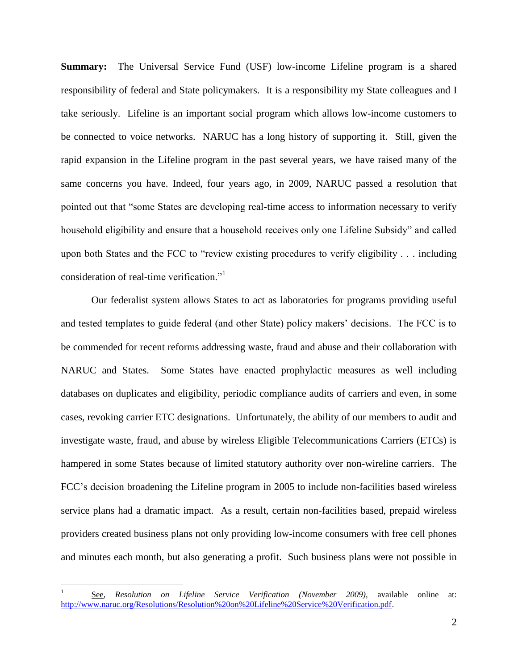**Summary:** The Universal Service Fund (USF) low-income Lifeline program is a shared responsibility of federal and State policymakers. It is a responsibility my State colleagues and I take seriously. Lifeline is an important social program which allows low-income customers to be connected to voice networks. NARUC has a long history of supporting it. Still, given the rapid expansion in the Lifeline program in the past several years, we have raised many of the same concerns you have. Indeed, four years ago, in 2009, NARUC passed a resolution that pointed out that "some States are developing real-time access to information necessary to verify household eligibility and ensure that a household receives only one Lifeline Subsidy" and called upon both States and the FCC to "review existing procedures to verify eligibility . . . including consideration of real-time verification."<sup>1</sup>

Our federalist system allows States to act as laboratories for programs providing useful and tested templates to guide federal (and other State) policy makers' decisions. The FCC is to be commended for recent reforms addressing waste, fraud and abuse and their collaboration with NARUC and States. Some States have enacted prophylactic measures as well including databases on duplicates and eligibility, periodic compliance audits of carriers and even, in some cases, revoking carrier ETC designations. Unfortunately, the ability of our members to audit and investigate waste, fraud, and abuse by wireless Eligible Telecommunications Carriers (ETCs) is hampered in some States because of limited statutory authority over non-wireline carriers. The FCC's decision broadening the Lifeline program in 2005 to include non-facilities based wireless service plans had a dramatic impact. As a result, certain non-facilities based, prepaid wireless providers created business plans not only providing low-income consumers with free cell phones and minutes each month, but also generating a profit. Such business plans were not possible in

<sup>1</sup> See, *Resolution on Lifeline Service Verification (November 2009)*, available online at: [http://www.naruc.org/Resolutions/Resolution%20on%20Lifeline%20Service%20Verification.pdf.](http://www.naruc.org/Resolutions/Resolution%20on%20Lifeline%20Service%20Verification.pdf)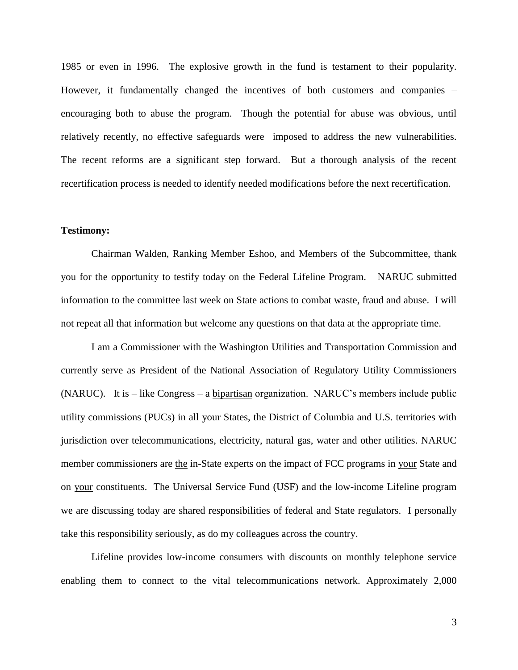1985 or even in 1996. The explosive growth in the fund is testament to their popularity. However, it fundamentally changed the incentives of both customers and companies – encouraging both to abuse the program. Though the potential for abuse was obvious, until relatively recently, no effective safeguards were imposed to address the new vulnerabilities. The recent reforms are a significant step forward. But a thorough analysis of the recent recertification process is needed to identify needed modifications before the next recertification.

#### **Testimony:**

Chairman Walden, Ranking Member Eshoo, and Members of the Subcommittee, thank you for the opportunity to testify today on the Federal Lifeline Program. NARUC submitted information to the committee last week on State actions to combat waste, fraud and abuse. I will not repeat all that information but welcome any questions on that data at the appropriate time.

I am a Commissioner with the Washington Utilities and Transportation Commission and currently serve as President of the National Association of Regulatory Utility Commissioners (NARUC). It is – like Congress – a bipartisan organization. NARUC's members include public utility commissions (PUCs) in all your States, the District of Columbia and U.S. territories with jurisdiction over telecommunications, electricity, natural gas, water and other utilities. NARUC member commissioners are the in-State experts on the impact of FCC programs in your State and on your constituents. The Universal Service Fund (USF) and the low-income Lifeline program we are discussing today are shared responsibilities of federal and State regulators. I personally take this responsibility seriously, as do my colleagues across the country.

Lifeline provides low-income consumers with discounts on monthly telephone service enabling them to connect to the vital telecommunications network. Approximately 2,000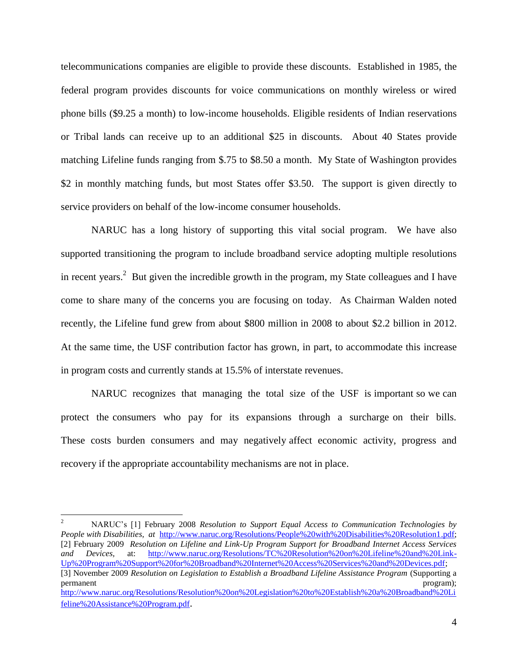telecommunications companies are eligible to provide these discounts. Established in 1985, the federal program provides discounts for voice communications on monthly wireless or wired phone bills (\$9.25 a month) to low-income households. Eligible residents of Indian reservations or Tribal lands can receive up to an additional \$25 in discounts. About 40 States provide matching Lifeline funds ranging from \$.75 to \$8.50 a month. My State of Washington provides \$2 in monthly matching funds, but most States offer \$3.50. The support is given directly to service providers on behalf of the low-income consumer households.

NARUC has a long history of supporting this vital social program. We have also supported transitioning the program to include broadband service adopting multiple resolutions in recent years.<sup>2</sup> But given the incredible growth in the program, my State colleagues and I have come to share many of the concerns you are focusing on today. As Chairman Walden noted recently, the Lifeline fund grew from about \$800 million in 2008 to about \$2.2 billion in 2012. At the same time, the USF contribution factor has grown, in part, to accommodate this increase in program costs and currently stands at 15.5% of interstate revenues.

NARUC recognizes that managing the total size of the USF is important so we can protect the consumers who pay for its expansions through a surcharge on their bills. These costs burden consumers and may negatively affect economic activity, progress and recovery if the appropriate accountability mechanisms are not in place.

<sup>2</sup> NARUC's [1] February 2008 *Resolution to Support Equal Access to Communication Technologies by People with Disabilities, at* [http://www.naruc.org/Resolutions/People%20with%20Disabilities%20Resolution1.pdf;](http://www.naruc.org/Resolutions/People%20with%20Disabilities%20Resolution1.pdf) [2] February 2009 *Resolution on Lifeline and Link-Up Program Support for Broadband Internet Access Services and Devices,* at: [http://www.naruc.org/Resolutions/TC%20Resolution%20on%20Lifeline%20and%20Link-](http://www.naruc.org/Resolutions/TC%20Resolution%20on%20Lifeline%20and%20Link-Up%20Program%20Support%20for%20Broadband%20Internet%20Access%20Services%20and%20Devices.pdf)[Up%20Program%20Support%20for%20Broadband%20Internet%20Access%20Services%20and%20Devices.pdf;](http://www.naruc.org/Resolutions/TC%20Resolution%20on%20Lifeline%20and%20Link-Up%20Program%20Support%20for%20Broadband%20Internet%20Access%20Services%20and%20Devices.pdf)

<sup>[3]</sup> November 2009 *Resolution on Legislation to Establish a Broadband Lifeline Assistance Program* (Supporting a permanent program); program); program); program); program); program); program); program); program); program); program); program); program); program(n); program(n); program(n); program(n); program(n); program(n); program(n)

[http://www.naruc.org/Resolutions/Resolution%20on%20Legislation%20to%20Establish%20a%20Broadband%20Li](http://www.naruc.org/Resolutions/Resolution%20on%20Legislation%20to%20Establish%20a%20Broadband%20Lifeline%20Assistance%20Program.pdf) [feline%20Assistance%20Program.pdf](http://www.naruc.org/Resolutions/Resolution%20on%20Legislation%20to%20Establish%20a%20Broadband%20Lifeline%20Assistance%20Program.pdf).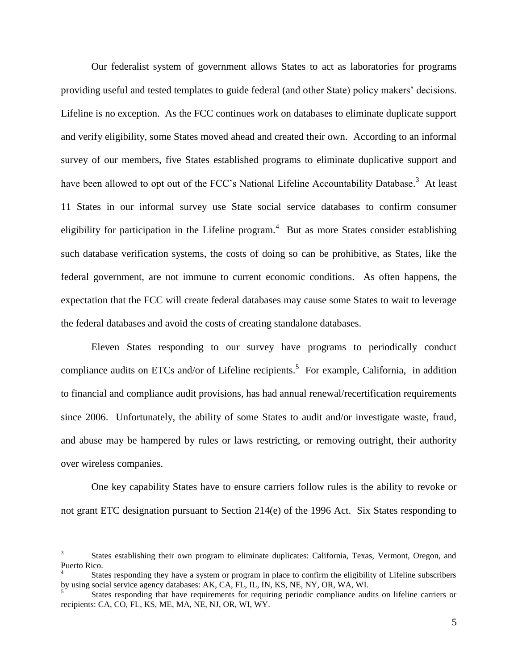Our federalist system of government allows States to act as laboratories for programs providing useful and tested templates to guide federal (and other State) policy makers' decisions. Lifeline is no exception. As the FCC continues work on databases to eliminate duplicate support and verify eligibility, some States moved ahead and created their own. According to an informal survey of our members, five States established programs to eliminate duplicative support and have been allowed to opt out of the FCC's National Lifeline Accountability Database.<sup>3</sup> At least 11 States in our informal survey use State social service databases to confirm consumer eligibility for participation in the Lifeline program.<sup>4</sup> But as more States consider establishing such database verification systems, the costs of doing so can be prohibitive, as States, like the federal government, are not immune to current economic conditions. As often happens, the expectation that the FCC will create federal databases may cause some States to wait to leverage the federal databases and avoid the costs of creating standalone databases.

Eleven States responding to our survey have programs to periodically conduct compliance audits on ETCs and/or of Lifeline recipients.<sup>5</sup> For example, California, in addition to financial and compliance audit provisions, has had annual renewal/recertification requirements since 2006. Unfortunately, the ability of some States to audit and/or investigate waste, fraud, and abuse may be hampered by rules or laws restricting, or removing outright, their authority over wireless companies.

One key capability States have to ensure carriers follow rules is the ability to revoke or not grant ETC designation pursuant to Section 214(e) of the 1996 Act. Six States responding to

<sup>3</sup> States establishing their own program to eliminate duplicates: California, Texas, Vermont, Oregon, and Puerto Rico.

<sup>4</sup> States responding they have a system or program in place to confirm the eligibility of Lifeline subscribers by using social service agency databases: AK, CA, FL, IL, IN, KS, NE, NY, OR, WA, WI.

<sup>5</sup> States responding that have requirements for requiring periodic compliance audits on lifeline carriers or recipients: CA, CO, FL, KS, ME, MA, NE, NJ, OR, WI, WY.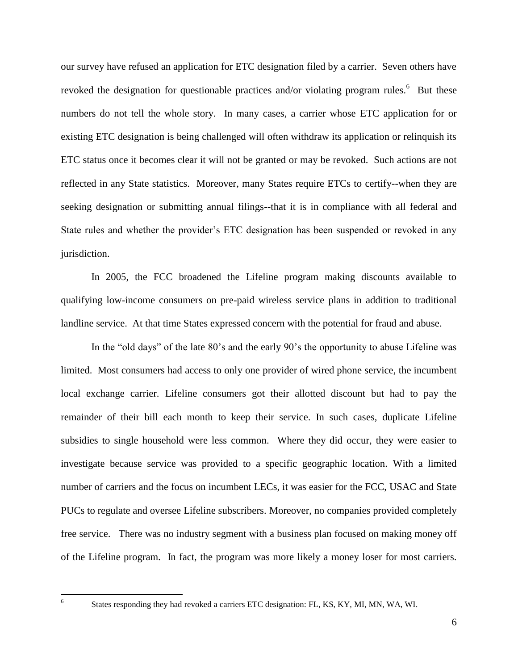our survey have refused an application for ETC designation filed by a carrier. Seven others have revoked the designation for questionable practices and/or violating program rules.<sup>6</sup> But these numbers do not tell the whole story. In many cases, a carrier whose ETC application for or existing ETC designation is being challenged will often withdraw its application or relinquish its ETC status once it becomes clear it will not be granted or may be revoked. Such actions are not reflected in any State statistics. Moreover, many States require ETCs to certify--when they are seeking designation or submitting annual filings--that it is in compliance with all federal and State rules and whether the provider's ETC designation has been suspended or revoked in any jurisdiction.

In 2005, the FCC broadened the Lifeline program making discounts available to qualifying low-income consumers on pre-paid wireless service plans in addition to traditional landline service. At that time States expressed concern with the potential for fraud and abuse.

In the "old days" of the late 80's and the early 90's the opportunity to abuse Lifeline was limited. Most consumers had access to only one provider of wired phone service, the incumbent local exchange carrier. Lifeline consumers got their allotted discount but had to pay the remainder of their bill each month to keep their service. In such cases, duplicate Lifeline subsidies to single household were less common. Where they did occur, they were easier to investigate because service was provided to a specific geographic location. With a limited number of carriers and the focus on incumbent LECs, it was easier for the FCC, USAC and State PUCs to regulate and oversee Lifeline subscribers. Moreover, no companies provided completely free service. There was no industry segment with a business plan focused on making money off of the Lifeline program. In fact, the program was more likely a money loser for most carriers.

 $\frac{1}{6}$ 

States responding they had revoked a carriers ETC designation: FL, KS, KY, MI, MN, WA, WI.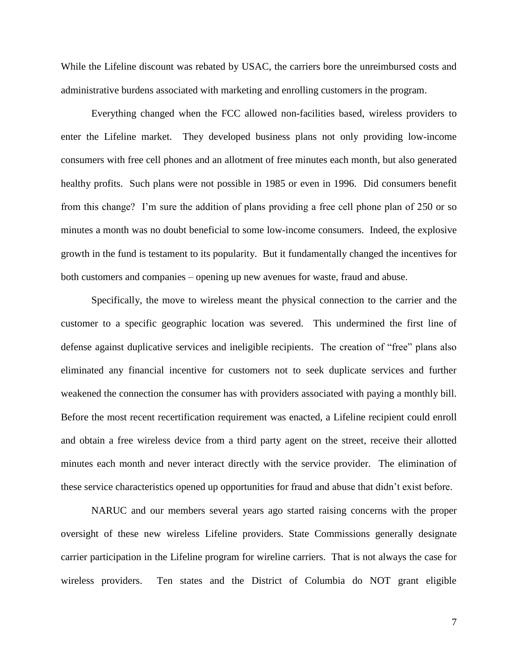While the Lifeline discount was rebated by USAC, the carriers bore the unreimbursed costs and administrative burdens associated with marketing and enrolling customers in the program.

Everything changed when the FCC allowed non-facilities based, wireless providers to enter the Lifeline market. They developed business plans not only providing low-income consumers with free cell phones and an allotment of free minutes each month, but also generated healthy profits. Such plans were not possible in 1985 or even in 1996. Did consumers benefit from this change? I'm sure the addition of plans providing a free cell phone plan of 250 or so minutes a month was no doubt beneficial to some low-income consumers. Indeed, the explosive growth in the fund is testament to its popularity. But it fundamentally changed the incentives for both customers and companies – opening up new avenues for waste, fraud and abuse.

Specifically, the move to wireless meant the physical connection to the carrier and the customer to a specific geographic location was severed. This undermined the first line of defense against duplicative services and ineligible recipients. The creation of "free" plans also eliminated any financial incentive for customers not to seek duplicate services and further weakened the connection the consumer has with providers associated with paying a monthly bill. Before the most recent recertification requirement was enacted, a Lifeline recipient could enroll and obtain a free wireless device from a third party agent on the street, receive their allotted minutes each month and never interact directly with the service provider. The elimination of these service characteristics opened up opportunities for fraud and abuse that didn't exist before.

NARUC and our members several years ago started raising concerns with the proper oversight of these new wireless Lifeline providers. State Commissions generally designate carrier participation in the Lifeline program for wireline carriers. That is not always the case for wireless providers. Ten states and the District of Columbia do NOT grant eligible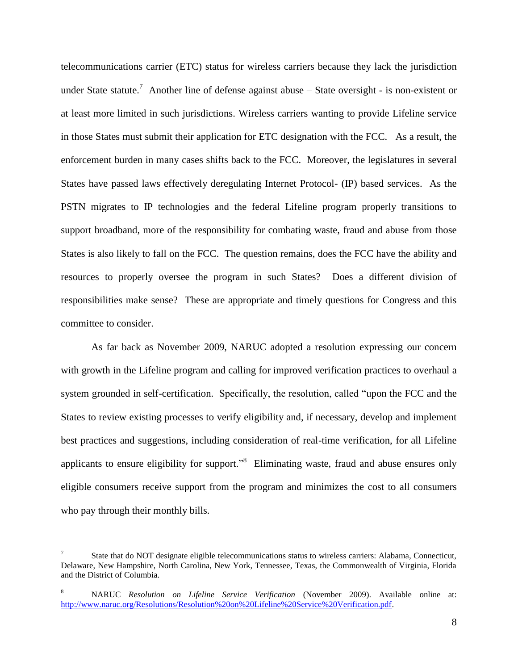telecommunications carrier (ETC) status for wireless carriers because they lack the jurisdiction under State statute.<sup>7</sup> Another line of defense against abuse  $-$  State oversight - is non-existent or at least more limited in such jurisdictions. Wireless carriers wanting to provide Lifeline service in those States must submit their application for ETC designation with the FCC. As a result, the enforcement burden in many cases shifts back to the FCC. Moreover, the legislatures in several States have passed laws effectively deregulating Internet Protocol- (IP) based services. As the PSTN migrates to IP technologies and the federal Lifeline program properly transitions to support broadband, more of the responsibility for combating waste, fraud and abuse from those States is also likely to fall on the FCC. The question remains, does the FCC have the ability and resources to properly oversee the program in such States? Does a different division of responsibilities make sense? These are appropriate and timely questions for Congress and this committee to consider.

As far back as November 2009, NARUC adopted a resolution expressing our concern with growth in the Lifeline program and calling for improved verification practices to overhaul a system grounded in self-certification. Specifically, the resolution, called "upon the FCC and the States to review existing processes to verify eligibility and, if necessary, develop and implement best practices and suggestions, including consideration of real-time verification, for all Lifeline applicants to ensure eligibility for support."<sup>8</sup> Eliminating waste, fraud and abuse ensures only eligible consumers receive support from the program and minimizes the cost to all consumers who pay through their monthly bills.

<sup>7</sup> State that do NOT designate eligible telecommunications status to wireless carriers: Alabama, Connecticut, Delaware, New Hampshire, North Carolina, New York, Tennessee, Texas, the Commonwealth of Virginia, Florida and the District of Columbia.

<sup>8</sup> NARUC *Resolution on Lifeline Service Verification* (November 2009). Available online at: [http://www.naruc.org/Resolutions/Resolution%20on%20Lifeline%20Service%20Verification.pdf.](http://www.naruc.org/Resolutions/Resolution%20on%20Lifeline%20Service%20Verification.pdf)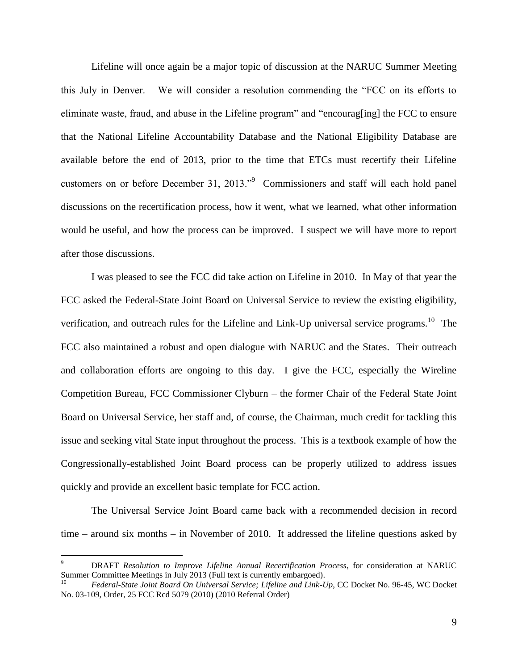Lifeline will once again be a major topic of discussion at the NARUC Summer Meeting this July in Denver. We will consider a resolution commending the "FCC on its efforts to eliminate waste, fraud, and abuse in the Lifeline program" and "encourag[ing] the FCC to ensure that the National Lifeline Accountability Database and the National Eligibility Database are available before the end of 2013, prior to the time that ETCs must recertify their Lifeline customers on or before December 31, 2013."<sup>9</sup> Commissioners and staff will each hold panel discussions on the recertification process, how it went, what we learned, what other information would be useful, and how the process can be improved. I suspect we will have more to report after those discussions.

I was pleased to see the FCC did take action on Lifeline in 2010. In May of that year the FCC asked the Federal-State Joint Board on Universal Service to review the existing eligibility, verification, and outreach rules for the Lifeline and Link-Up universal service programs.<sup>10</sup> The FCC also maintained a robust and open dialogue with NARUC and the States. Their outreach and collaboration efforts are ongoing to this day. I give the FCC, especially the Wireline Competition Bureau, FCC Commissioner Clyburn – the former Chair of the Federal State Joint Board on Universal Service, her staff and, of course, the Chairman, much credit for tackling this issue and seeking vital State input throughout the process. This is a textbook example of how the Congressionally-established Joint Board process can be properly utilized to address issues quickly and provide an excellent basic template for FCC action.

The Universal Service Joint Board came back with a recommended decision in record time – around six months – in November of 2010. It addressed the lifeline questions asked by

<sup>9</sup> DRAFT *Resolution to Improve Lifeline Annual Recertification Process*, for consideration at NARUC Summer Committee Meetings in July 2013 (Full text is currently embargoed).

<sup>10</sup> *Federal-State Joint Board On Universal Service; Lifeline and Link-Up*, CC Docket No. 96-45, WC Docket No. 03-109, Order, 25 FCC Rcd 5079 (2010) (2010 Referral Order)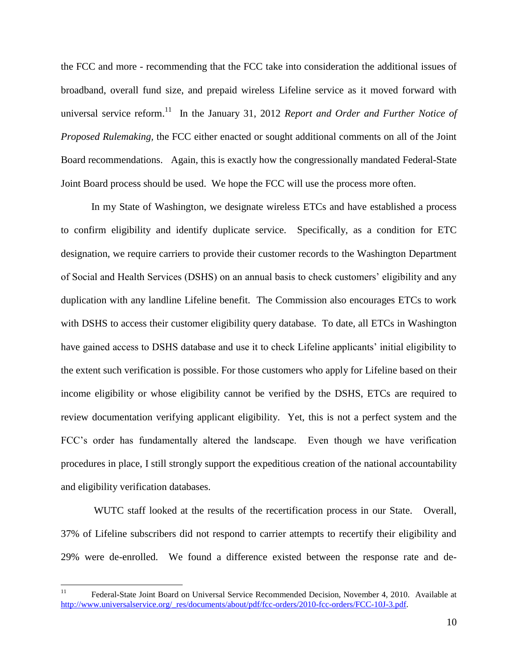the FCC and more - recommending that the FCC take into consideration the additional issues of broadband, overall fund size, and prepaid wireless Lifeline service as it moved forward with universal service reform.<sup>11</sup> In the January 31, 2012 *Report and Order and Further Notice of Proposed Rulemaking,* the FCC either enacted or sought additional comments on all of the Joint Board recommendations. Again, this is exactly how the congressionally mandated Federal-State Joint Board process should be used. We hope the FCC will use the process more often.

In my State of Washington, we designate wireless ETCs and have established a process to confirm eligibility and identify duplicate service. Specifically, as a condition for ETC designation, we require carriers to provide their customer records to the Washington Department of Social and Health Services (DSHS) on an annual basis to check customers' eligibility and any duplication with any landline Lifeline benefit. The Commission also encourages ETCs to work with DSHS to access their customer eligibility query database. To date, all ETCs in Washington have gained access to DSHS database and use it to check Lifeline applicants' initial eligibility to the extent such verification is possible. For those customers who apply for Lifeline based on their income eligibility or whose eligibility cannot be verified by the DSHS, ETCs are required to review documentation verifying applicant eligibility. Yet, this is not a perfect system and the FCC's order has fundamentally altered the landscape. Even though we have verification procedures in place, I still strongly support the expeditious creation of the national accountability and eligibility verification databases.

WUTC staff looked at the results of the recertification process in our State. Overall, 37% of Lifeline subscribers did not respond to carrier attempts to recertify their eligibility and 29% were de-enrolled. We found a difference existed between the response rate and de-

 $11$ <sup>11</sup> Federal-State Joint Board on Universal Service Recommended Decision, November 4, 2010. Available at [http://www.universalservice.org/\\_res/documents/about/pdf/fcc-orders/2010-fcc-orders/FCC-10J-3.pdf.](http://www.universalservice.org/_res/documents/about/pdf/fcc-orders/2010-fcc-orders/FCC-10J-3.pdf)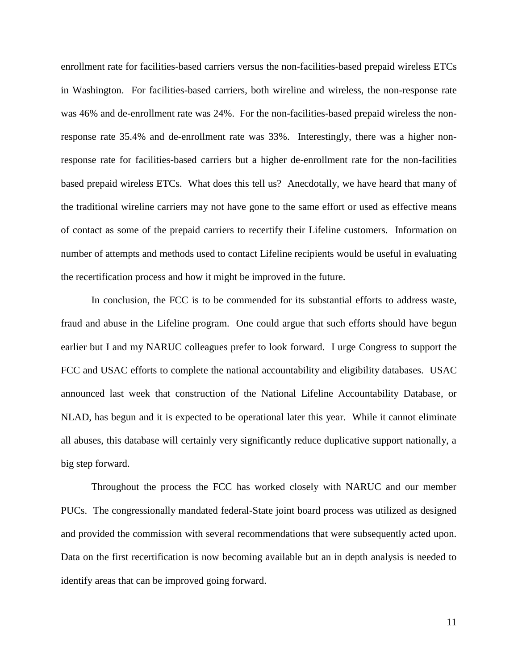enrollment rate for facilities-based carriers versus the non-facilities-based prepaid wireless ETCs in Washington. For facilities-based carriers, both wireline and wireless, the non-response rate was 46% and de-enrollment rate was 24%. For the non-facilities-based prepaid wireless the nonresponse rate 35.4% and de-enrollment rate was 33%. Interestingly, there was a higher nonresponse rate for facilities-based carriers but a higher de-enrollment rate for the non-facilities based prepaid wireless ETCs. What does this tell us? Anecdotally, we have heard that many of the traditional wireline carriers may not have gone to the same effort or used as effective means of contact as some of the prepaid carriers to recertify their Lifeline customers. Information on number of attempts and methods used to contact Lifeline recipients would be useful in evaluating the recertification process and how it might be improved in the future.

In conclusion, the FCC is to be commended for its substantial efforts to address waste, fraud and abuse in the Lifeline program. One could argue that such efforts should have begun earlier but I and my NARUC colleagues prefer to look forward. I urge Congress to support the FCC and USAC efforts to complete the national accountability and eligibility databases. USAC announced last week that construction of the National Lifeline Accountability Database, or NLAD, has begun and it is expected to be operational later this year. While it cannot eliminate all abuses, this database will certainly very significantly reduce duplicative support nationally, a big step forward.

Throughout the process the FCC has worked closely with NARUC and our member PUCs. The congressionally mandated federal-State joint board process was utilized as designed and provided the commission with several recommendations that were subsequently acted upon. Data on the first recertification is now becoming available but an in depth analysis is needed to identify areas that can be improved going forward.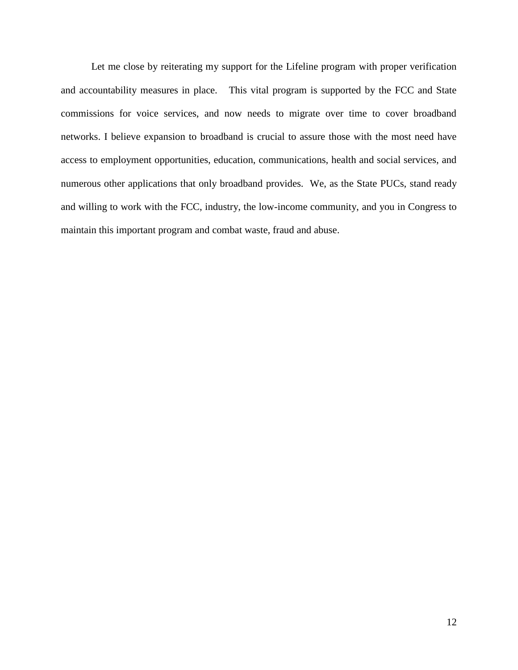Let me close by reiterating my support for the Lifeline program with proper verification and accountability measures in place. This vital program is supported by the FCC and State commissions for voice services, and now needs to migrate over time to cover broadband networks. I believe expansion to broadband is crucial to assure those with the most need have access to employment opportunities, education, communications, health and social services, and numerous other applications that only broadband provides. We, as the State PUCs, stand ready and willing to work with the FCC, industry, the low-income community, and you in Congress to maintain this important program and combat waste, fraud and abuse.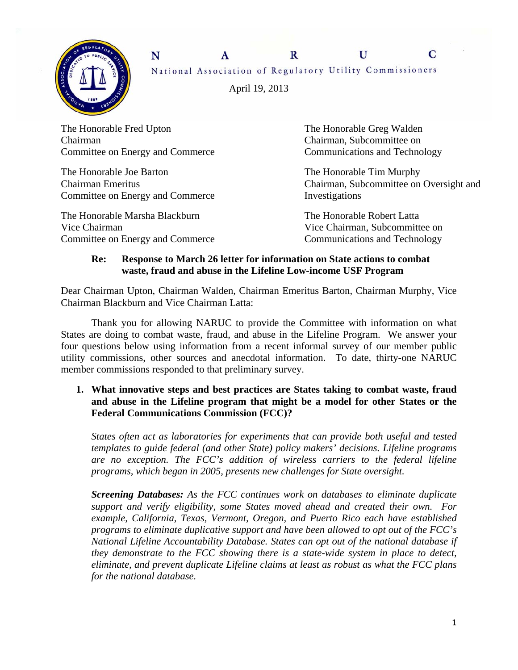

 $\mathbf{R}$  $\mathbf{U}$ N  $\mathbf{A}$ National Association of Regulatory Utility Commissioners

April 19, 2013

The Honorable Fred Upton The Honorable Greg Walden Chairman Chairman, Subcommittee on Committee on Energy and Commerce Communications and Technology

The Honorable Joe Barton The Honorable Tim Murphy Committee on Energy and Commerce Investigations

The Honorable Marsha Blackburn The Honorable Robert Latta Vice Chairman Vice Chairman, Subcommittee on Committee on Energy and Commerce Communications and Technology

Chairman Emeritus Chairman, Subcommittee on Oversight and

C

#### **Re: Response to March 26 letter for information on State actions to combat waste, fraud and abuse in the Lifeline Low-income USF Program**

Dear Chairman Upton, Chairman Walden, Chairman Emeritus Barton, Chairman Murphy, Vice Chairman Blackburn and Vice Chairman Latta:

 Thank you for allowing NARUC to provide the Committee with information on what States are doing to combat waste, fraud, and abuse in the Lifeline Program. We answer your four questions below using information from a recent informal survey of our member public utility commissions, other sources and anecdotal information. To date, thirty-one NARUC member commissions responded to that preliminary survey.

**1. What innovative steps and best practices are States taking to combat waste, fraud and abuse in the Lifeline program that might be a model for other States or the Federal Communications Commission (FCC)?** 

*States often act as laboratories for experiments that can provide both useful and tested templates to guide federal (and other State) policy makers' decisions. Lifeline programs are no exception. The FCC's addition of wireless carriers to the federal lifeline programs, which began in 2005, presents new challenges for State oversight.* 

*Screening Databases: As the FCC continues work on databases to eliminate duplicate support and verify eligibility, some States moved ahead and created their own. For example, California, Texas, Vermont, Oregon, and Puerto Rico each have established programs to eliminate duplicative support and have been allowed to opt out of the FCC's National Lifeline Accountability Database. States can opt out of the national database if they demonstrate to the FCC showing there is a state-wide system in place to detect, eliminate, and prevent duplicate Lifeline claims at least as robust as what the FCC plans for the national database.*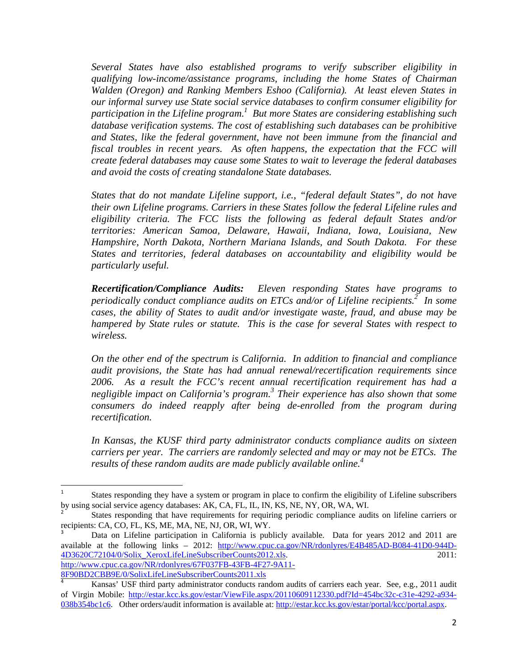*Several States have also established programs to verify subscriber eligibility in qualifying low-income/assistance programs, including the home States of Chairman Walden (Oregon) and Ranking Members Eshoo (California). At least eleven States in our informal survey use State social service databases to confirm consumer eligibility for*  participation in the Lifeline program.<sup>1</sup> But more States are considering establishing such *database verification systems. The cost of establishing such databases can be prohibitive and States, like the federal government, have not been immune from the financial and fiscal troubles in recent years. As often happens, the expectation that the FCC will create federal databases may cause some States to wait to leverage the federal databases and avoid the costs of creating standalone State databases.* 

*States that do not mandate Lifeline support, i.e., "federal default States", do not have their own Lifeline programs. Carriers in these States follow the federal Lifeline rules and eligibility criteria. The FCC lists the following as federal default States and/or territories: American Samoa, Delaware, Hawaii, Indiana, Iowa, Louisiana, New Hampshire, North Dakota, Northern Mariana Islands, and South Dakota. For these States and territories, federal databases on accountability and eligibility would be particularly useful.* 

*Recertification/Compliance Audits: Eleven responding States have programs to*  periodically conduct compliance audits on *ETCs* and/or of Lifeline recipients.<sup>2</sup> In some *cases, the ability of States to audit and/or investigate waste, fraud, and abuse may be hampered by State rules or statute. This is the case for several States with respect to wireless.* 

*On the other end of the spectrum is California. In addition to financial and compliance audit provisions, the State has had annual renewal/recertification requirements since 2006. As a result the FCC's recent annual recertification requirement has had a negligible impact on California's program.3 Their experience has also shown that some consumers do indeed reapply after being de-enrolled from the program during recertification.* 

*In Kansas, the KUSF third party administrator conducts compliance audits on sixteen carriers per year. The carriers are randomly selected and may or may not be ETCs. The results of these random audits are made publicly available online.4*

8F90BD2CBB9E/0/SolixLifeLineSubscriberCounts2011.xls

<sup>1</sup> States responding they have a system or program in place to confirm the eligibility of Lifeline subscribers by using social service agency databases: AK, CA, FL, IL, IN, KS, NE, NY, OR, WA, WI.

<sup>2</sup> States responding that have requirements for requiring periodic compliance audits on lifeline carriers or recipients: CA, CO, FL, KS, ME, MA, NE, NJ, OR, WI, WY.

<sup>3</sup> Data on Lifeline participation in California is publicly available. Data for years 2012 and 2011 are available at the following links – 2012: http://www.cpuc.ca.gov/NR/rdonlyres/E4B485AD-B084-41D0-944D-4D3620C72104/0/Solix\_XeroxLifeLineSubscriberCounts2012.xls. 2011: http://www.cpuc.ca.gov/NR/rdonlyres/67F037FB-43FB-4F27-9A11-

<sup>4</sup> Kansas' USF third party administrator conducts random audits of carriers each year. See, e.g., 2011 audit of Virgin Mobile: http://estar.kcc.ks.gov/estar/ViewFile.aspx/20110609112330.pdf?Id=454bc32c-c31e-4292-a934- 038b354bc1c6. Other orders/audit information is available at: http://estar.kcc.ks.gov/estar/portal/kcc/portal.aspx.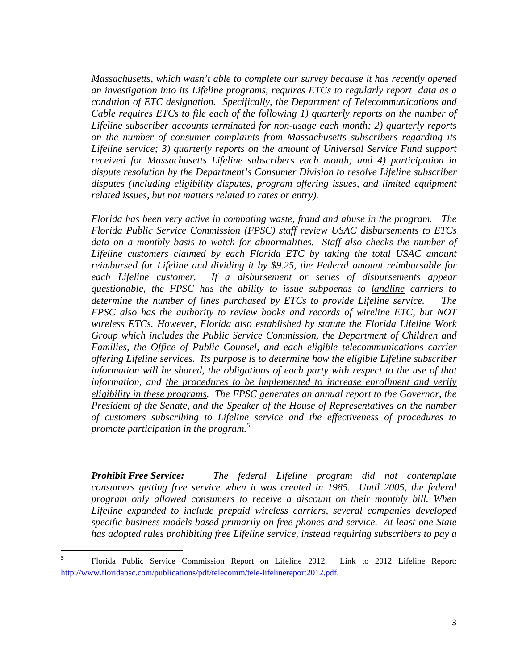*Massachusetts, which wasn't able to complete our survey because it has recently opened an investigation into its Lifeline programs, requires ETCs to regularly report data as a condition of ETC designation. Specifically, the Department of Telecommunications and Cable requires ETCs to file each of the following 1) quarterly reports on the number of Lifeline subscriber accounts terminated for non-usage each month; 2) quarterly reports on the number of consumer complaints from Massachusetts subscribers regarding its Lifeline service; 3) quarterly reports on the amount of Universal Service Fund support received for Massachusetts Lifeline subscribers each month; and 4) participation in dispute resolution by the Department's Consumer Division to resolve Lifeline subscriber disputes (including eligibility disputes, program offering issues, and limited equipment related issues, but not matters related to rates or entry).* 

*Florida has been very active in combating waste, fraud and abuse in the program. The Florida Public Service Commission (FPSC) staff review USAC disbursements to ETCs*  data on a monthly basis to watch for abnormalities. Staff also checks the number of *Lifeline customers claimed by each Florida ETC by taking the total USAC amount reimbursed for Lifeline and dividing it by \$9.25, the Federal amount reimbursable for each Lifeline customer. If a disbursement or series of disbursements appear questionable, the FPSC has the ability to issue subpoenas to landline carriers to determine the number of lines purchased by ETCs to provide Lifeline service. The FPSC also has the authority to review books and records of wireline ETC, but NOT wireless ETCs. However, Florida also established by statute the Florida Lifeline Work Group which includes the Public Service Commission, the Department of Children and Families, the Office of Public Counsel, and each eligible telecommunications carrier offering Lifeline services. Its purpose is to determine how the eligible Lifeline subscriber information will be shared, the obligations of each party with respect to the use of that information, and the procedures to be implemented to increase enrollment and verify eligibility in these programs. The FPSC generates an annual report to the Governor, the President of the Senate, and the Speaker of the House of Representatives on the number of customers subscribing to Lifeline service and the effectiveness of procedures to promote participation in the program.<sup>5</sup>* 

*Prohibit Free Service: The federal Lifeline program did not contemplate consumers getting free service when it was created in 1985. Until 2005, the federal program only allowed consumers to receive a discount on their monthly bill. When Lifeline expanded to include prepaid wireless carriers, several companies developed specific business models based primarily on free phones and service. At least one State has adopted rules prohibiting free Lifeline service, instead requiring subscribers to pay a* 

<sup>5</sup> Florida Public Service Commission Report on Lifeline 2012. Link to 2012 Lifeline Report: http://www.floridapsc.com/publications/pdf/telecomm/tele-lifelinereport2012.pdf.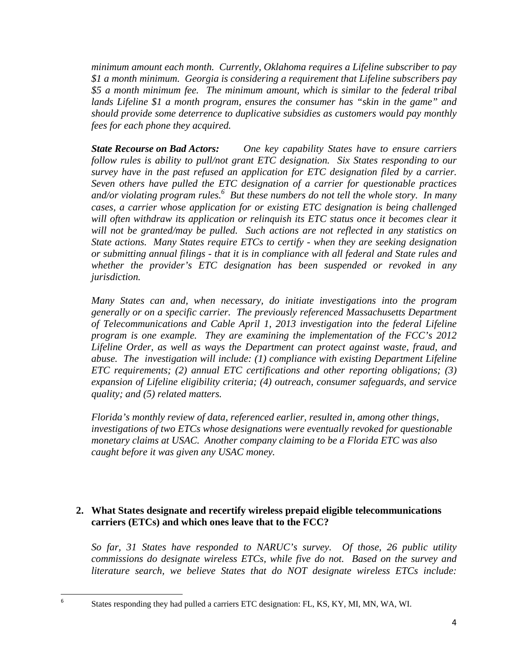*minimum amount each month. Currently, Oklahoma requires a Lifeline subscriber to pay \$1 a month minimum. Georgia is considering a requirement that Lifeline subscribers pay \$5 a month minimum fee. The minimum amount, which is similar to the federal tribal lands Lifeline \$1 a month program, ensures the consumer has "skin in the game" and should provide some deterrence to duplicative subsidies as customers would pay monthly fees for each phone they acquired.* 

*State Recourse on Bad Actors: One key capability States have to ensure carriers follow rules is ability to pull/not grant ETC designation. Six States responding to our survey have in the past refused an application for ETC designation filed by a carrier. Seven others have pulled the ETC designation of a carrier for questionable practices*  and/or violating program rules.<sup>6</sup> But these numbers do not tell the whole story. In many *cases, a carrier whose application for or existing ETC designation is being challenged*  will often withdraw its application or relinquish its ETC status once it becomes clear it *will not be granted/may be pulled. Such actions are not reflected in any statistics on State actions. Many States require ETCs to certify - when they are seeking designation or submitting annual filings - that it is in compliance with all federal and State rules and whether the provider's ETC designation has been suspended or revoked in any jurisdiction.* 

*Many States can and, when necessary, do initiate investigations into the program generally or on a specific carrier. The previously referenced Massachusetts Department of Telecommunications and Cable April 1, 2013 investigation into the federal Lifeline program is one example. They are examining the implementation of the FCC's 2012 Lifeline Order, as well as ways the Department can protect against waste, fraud, and abuse. The investigation will include: (1) compliance with existing Department Lifeline ETC requirements; (2) annual ETC certifications and other reporting obligations; (3) expansion of Lifeline eligibility criteria; (4) outreach, consumer safeguards, and service quality; and (5) related matters.* 

*Florida's monthly review of data, referenced earlier, resulted in, among other things, investigations of two ETCs whose designations were eventually revoked for questionable monetary claims at USAC. Another company claiming to be a Florida ETC was also caught before it was given any USAC money.* 

### **2. What States designate and recertify wireless prepaid eligible telecommunications carriers (ETCs) and which ones leave that to the FCC?**

*So far, 31 States have responded to NARUC's survey. Of those, 26 public utility commissions do designate wireless ETCs, while five do not. Based on the survey and literature search, we believe States that do NOT designate wireless ETCs include:* 

States responding they had pulled a carriers ETC designation: FL, KS, KY, MI, MN, WA, WI.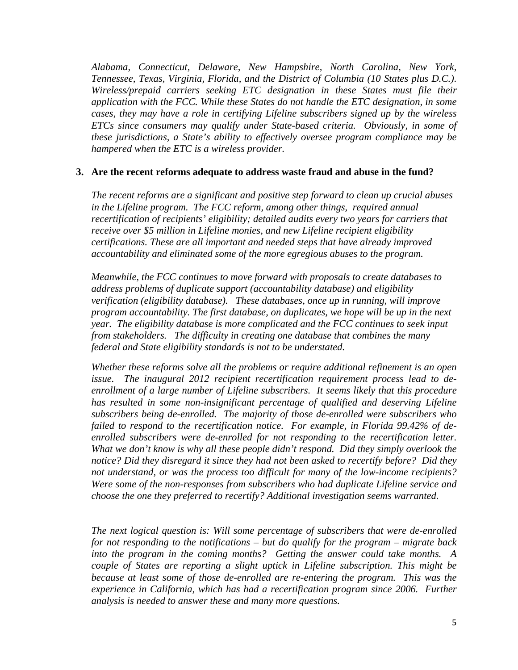*Alabama, Connecticut, Delaware, New Hampshire, North Carolina, New York, Tennessee, Texas, Virginia, Florida, and the District of Columbia (10 States plus D.C.). Wireless/prepaid carriers seeking ETC designation in these States must file their application with the FCC. While these States do not handle the ETC designation, in some cases, they may have a role in certifying Lifeline subscribers signed up by the wireless ETCs since consumers may qualify under State-based criteria. Obviously, in some of these jurisdictions, a State's ability to effectively oversee program compliance may be hampered when the ETC is a wireless provider.* 

#### **3. Are the recent reforms adequate to address waste fraud and abuse in the fund?**

*The recent reforms are a significant and positive step forward to clean up crucial abuses in the Lifeline program. The FCC reform, among other things, required annual recertification of recipients' eligibility; detailed audits every two years for carriers that receive over \$5 million in Lifeline monies, and new Lifeline recipient eligibility certifications. These are all important and needed steps that have already improved accountability and eliminated some of the more egregious abuses to the program.* 

*Meanwhile, the FCC continues to move forward with proposals to create databases to address problems of duplicate support (accountability database) and eligibility verification (eligibility database). These databases, once up in running, will improve program accountability. The first database, on duplicates, we hope will be up in the next year. The eligibility database is more complicated and the FCC continues to seek input from stakeholders. The difficulty in creating one database that combines the many federal and State eligibility standards is not to be understated.* 

*Whether these reforms solve all the problems or require additional refinement is an open issue. The inaugural 2012 recipient recertification requirement process lead to deenrollment of a large number of Lifeline subscribers. It seems likely that this procedure has resulted in some non-insignificant percentage of qualified and deserving Lifeline subscribers being de-enrolled. The majority of those de-enrolled were subscribers who failed to respond to the recertification notice. For example, in Florida 99.42% of deenrolled subscribers were de-enrolled for not responding to the recertification letter. What we don't know is why all these people didn't respond. Did they simply overlook the notice? Did they disregard it since they had not been asked to recertify before? Did they not understand, or was the process too difficult for many of the low-income recipients? Were some of the non-responses from subscribers who had duplicate Lifeline service and choose the one they preferred to recertify? Additional investigation seems warranted.* 

*The next logical question is: Will some percentage of subscribers that were de-enrolled for not responding to the notifications – but do qualify for the program – migrate back into the program in the coming months? Getting the answer could take months. A couple of States are reporting a slight uptick in Lifeline subscription. This might be because at least some of those de-enrolled are re-entering the program. This was the experience in California, which has had a recertification program since 2006. Further analysis is needed to answer these and many more questions.*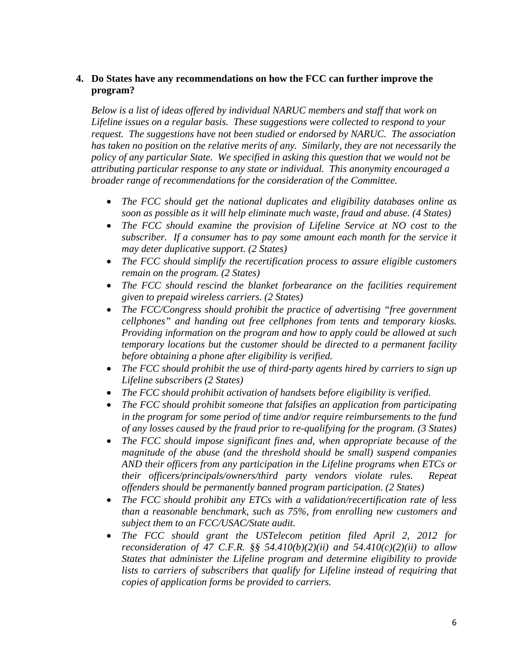#### **4. Do States have any recommendations on how the FCC can further improve the program?**

*Below is a list of ideas offered by individual NARUC members and staff that work on Lifeline issues on a regular basis. These suggestions were collected to respond to your request. The suggestions have not been studied or endorsed by NARUC. The association has taken no position on the relative merits of any. Similarly, they are not necessarily the policy of any particular State. We specified in asking this question that we would not be attributing particular response to any state or individual. This anonymity encouraged a broader range of recommendations for the consideration of the Committee.* 

- *The FCC should get the national duplicates and eligibility databases online as soon as possible as it will help eliminate much waste, fraud and abuse. (4 States)*
- *The FCC should examine the provision of Lifeline Service at NO cost to the subscriber. If a consumer has to pay some amount each month for the service it may deter duplicative support. (2 States)*
- *The FCC should simplify the recertification process to assure eligible customers remain on the program. (2 States)*
- *The FCC should rescind the blanket forbearance on the facilities requirement given to prepaid wireless carriers. (2 States)*
- *The FCC/Congress should prohibit the practice of advertising "free government cellphones" and handing out free cellphones from tents and temporary kiosks. Providing information on the program and how to apply could be allowed at such temporary locations but the customer should be directed to a permanent facility before obtaining a phone after eligibility is verified.*
- *The FCC should prohibit the use of third-party agents hired by carriers to sign up Lifeline subscribers (2 States)*
- *The FCC should prohibit activation of handsets before eligibility is verified.*
- *The FCC should prohibit someone that falsifies an application from participating in the program for some period of time and/or require reimbursements to the fund of any losses caused by the fraud prior to re-qualifying for the program. (3 States)*
- *The FCC should impose significant fines and, when appropriate because of the magnitude of the abuse (and the threshold should be small) suspend companies AND their officers from any participation in the Lifeline programs when ETCs or their officers/principals/owners/third party vendors violate rules. Repeat offenders should be permanently banned program participation. (2 States)*
- *The FCC should prohibit any ETCs with a validation/recertification rate of less than a reasonable benchmark, such as 75%, from enrolling new customers and subject them to an FCC/USAC/State audit.*
- *The FCC should grant the USTelecom petition filed April 2, 2012 for reconsideration of 47 C.F.R. §§ 54.410(b)(2)(ii) and 54.410(c)(2)(ii) to allow States that administer the Lifeline program and determine eligibility to provide*  lists to carriers of subscribers that qualify for Lifeline instead of requiring that *copies of application forms be provided to carriers.*